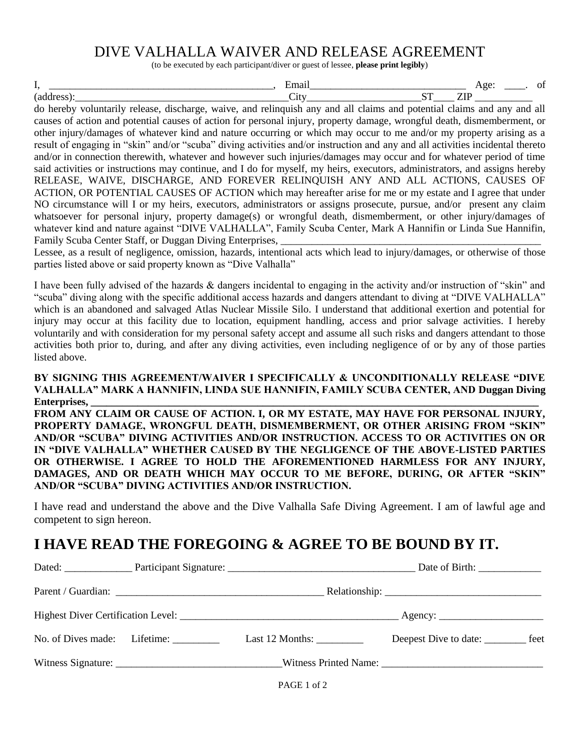## DIVE VALHALLA WAIVER AND RELEASE AGREEMENT

(to be executed by each participant/diver or guest of lessee, **please print legibly**)

| --- | . . | -- |  |
|-----|-----|----|--|

do hereby voluntarily release, discharge, waive, and relinquish any and all claims and potential claims and any and all causes of action and potential causes of action for personal injury, property damage, wrongful death, dismemberment, or other injury/damages of whatever kind and nature occurring or which may occur to me and/or my property arising as a result of engaging in "skin" and/or "scuba" diving activities and/or instruction and any and all activities incidental thereto and/or in connection therewith, whatever and however such injuries/damages may occur and for whatever period of time said activities or instructions may continue, and I do for myself, my heirs, executors, administrators, and assigns hereby RELEASE, WAIVE, DISCHARGE, AND FOREVER RELINQUISH ANY AND ALL ACTIONS, CAUSES OF ACTION, OR POTENTIAL CAUSES OF ACTION which may hereafter arise for me or my estate and I agree that under NO circumstance will I or my heirs, executors, administrators or assigns prosecute, pursue, and/or present any claim whatsoever for personal injury, property damage(s) or wrongful death, dismemberment, or other injury/damages of whatever kind and nature against "DIVE VALHALLA", Family Scuba Center, Mark A Hannifin or Linda Sue Hannifin, Family Scuba Center Staff, or Duggan Diving Enterprises,

Lessee, as a result of negligence, omission, hazards, intentional acts which lead to injury/damages, or otherwise of those parties listed above or said property known as "Dive Valhalla"

I have been fully advised of the hazards & dangers incidental to engaging in the activity and/or instruction of "skin" and "scuba" diving along with the specific additional access hazards and dangers attendant to diving at "DIVE VALHALLA" which is an abandoned and salvaged Atlas Nuclear Missile Silo. I understand that additional exertion and potential for injury may occur at this facility due to location, equipment handling, access and prior salvage activities. I hereby voluntarily and with consideration for my personal safety accept and assume all such risks and dangers attendant to those activities both prior to, during, and after any diving activities, even including negligence of or by any of those parties listed above.

## **BY SIGNING THIS AGREEMENT/WAIVER I SPECIFICALLY & UNCONDITIONALLY RELEASE "DIVE VALHALLA" MARK A HANNIFIN, LINDA SUE HANNIFIN, FAMILY SCUBA CENTER, AND Duggan Diving Enterprises, \_\_\_\_\_\_\_\_\_\_\_\_\_\_\_\_\_\_\_\_\_\_\_\_\_\_\_\_\_\_\_\_\_\_\_\_\_\_\_\_\_\_\_\_\_\_\_\_\_\_\_\_\_\_\_\_\_\_\_\_\_\_\_\_\_\_\_\_\_\_\_\_\_\_\_\_\_\_\_\_\_\_\_\_\_\_**

**FROM ANY CLAIM OR CAUSE OF ACTION. I, OR MY ESTATE, MAY HAVE FOR PERSONAL INJURY, PROPERTY DAMAGE, WRONGFUL DEATH, DISMEMBERMENT, OR OTHER ARISING FROM "SKIN" AND/OR "SCUBA" DIVING ACTIVITIES AND/OR INSTRUCTION. ACCESS TO OR ACTIVITIES ON OR IN "DIVE VALHALLA" WHETHER CAUSED BY THE NEGLIGENCE OF THE ABOVE-LISTED PARTIES OR OTHERWISE. I AGREE TO HOLD THE AFOREMENTIONED HARMLESS FOR ANY INJURY, DAMAGES, AND OR DEATH WHICH MAY OCCUR TO ME BEFORE, DURING, OR AFTER "SKIN" AND/OR "SCUBA" DIVING ACTIVITIES AND/OR INSTRUCTION.**

I have read and understand the above and the Dive Valhalla Safe Diving Agreement. I am of lawful age and competent to sign hereon.

## **I HAVE READ THE FOREGOING & AGREE TO BE BOUND BY IT.**

|                                        |                               | Date of Birth: _______________              |  |
|----------------------------------------|-------------------------------|---------------------------------------------|--|
|                                        |                               |                                             |  |
|                                        |                               |                                             |  |
| No. of Dives made: Lifetime: _________ | Last 12 Months: $\frac{1}{2}$ | Deepest Dive to date: <u>_________</u> feet |  |
|                                        |                               |                                             |  |
|                                        | PAGE 1 of 2                   |                                             |  |